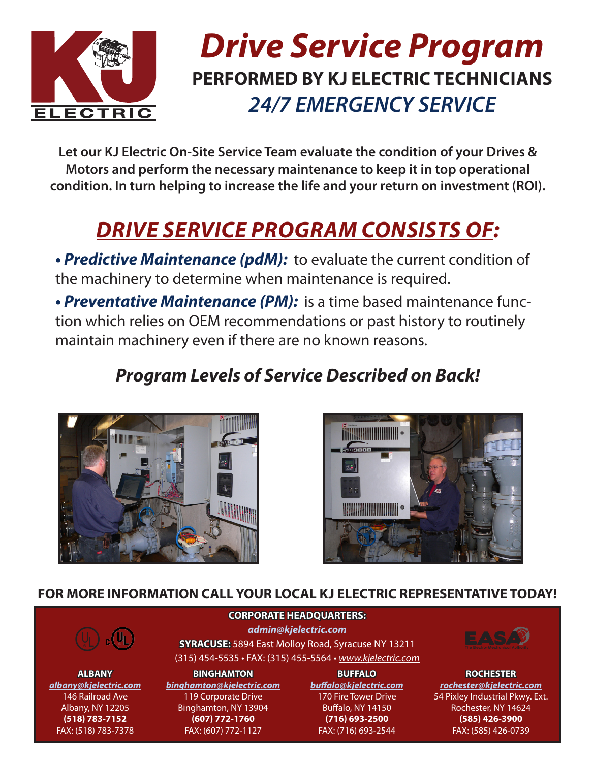

## *Drive Service Program* **PERFORMED BY KJ ELECTRIC TECHNICIANS** *24/7 EMERGENCY SERVICE*

**Let our KJ Electric On-Site Service Team evaluate the condition of your Drives & Motors and perform the necessary maintenance to keep it in top operational condition. In turn helping to increase the life and your return on investment (ROI).** 

## *DRIVE SERVICE PROGRAM CONSISTS OF:*

**• Predictive Maintenance (pdM):** to evaluate the current condition of the machinery to determine when maintenance is required.

**• Preventative Maintenance (PM):** is a time based maintenance function which relies on OEM recommendations or past history to routinely maintain machinery even if there are no known reasons.

### *Program Levels of Service Described on Back!*





#### **FOR MORE INFORMATION CALL YOUR LOCAL KJ ELECTRIC REPRESENTATIVE TODAY!**



**ALBANY** *albany@kjelectric.com* 146 Railroad Ave Albany, NY 12205 **(518) 783-7152** FAX: (518) 783-7378

**CORPORATE HEADQUARTERS:** *admin@kjelectric.com* **SYRACUSE:** 5894 East Molloy Road, Syracuse NY 13211 (315) 454-5535 • FAX: (315) 455-5564 • *www.kjelectric.com*

**BINGHAMTON** *binghamton@kjelectric.com* 119 Corporate Drive Binghamton, NY 13904 **(607) 772-1760** FAX: (607) 772-1127

**BUFFALO** *buffalo@kjelectric.com* 170 Fire Tower Drive Buffalo, NY 14150 **(716) 693-2500** FAX: (716) 693-2544



**ROCHESTER** *rochester@kjelectric.com* 54 Pixley Industrial Pkwy. Ext. Rochester, NY 14624 **(585) 426-3900** FAX: (585) 426-0739